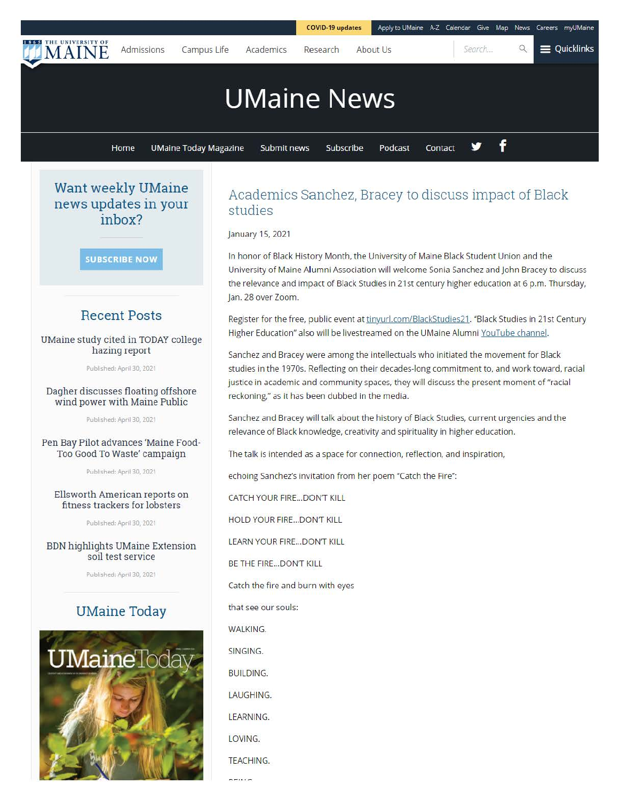